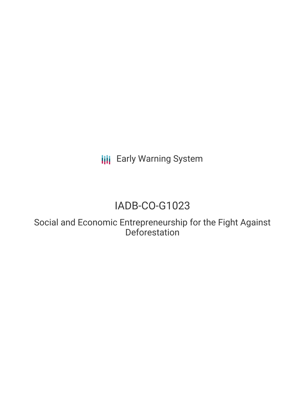**III** Early Warning System

# IADB-CO-G1023

Social and Economic Entrepreneurship for the Fight Against **Deforestation**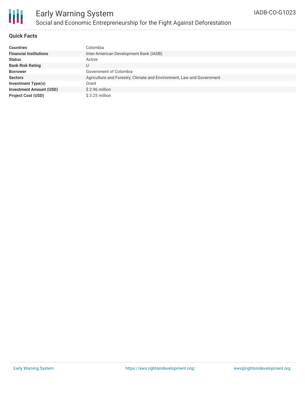

# Early Warning System Social and Economic Entrepreneurship for the Fight Against Deforestation

### **Quick Facts**

| <b>Countries</b>               | Colombia                                                              |
|--------------------------------|-----------------------------------------------------------------------|
| <b>Financial Institutions</b>  | Inter-American Development Bank (IADB)                                |
| <b>Status</b>                  | Active                                                                |
| <b>Bank Risk Rating</b>        | U                                                                     |
| <b>Borrower</b>                | Government of Colombia                                                |
| <b>Sectors</b>                 | Agriculture and Forestry, Climate and Environment, Law and Government |
| <b>Investment Type(s)</b>      | Grant                                                                 |
| <b>Investment Amount (USD)</b> | \$2.96 million                                                        |
| <b>Project Cost (USD)</b>      | $$3.25$ million                                                       |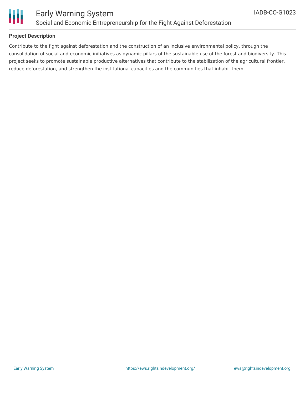

### **Project Description**

Contribute to the fight against deforestation and the construction of an inclusive environmental policy, through the consolidation of social and economic initiatives as dynamic pillars of the sustainable use of the forest and biodiversity. This project seeks to promote sustainable productive alternatives that contribute to the stabilization of the agricultural frontier, reduce deforestation, and strengthen the institutional capacities and the communities that inhabit them.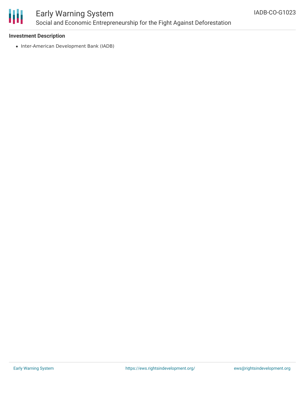

# Early Warning System Social and Economic Entrepreneurship for the Fight Against Deforestation

### **Investment Description**

• Inter-American Development Bank (IADB)